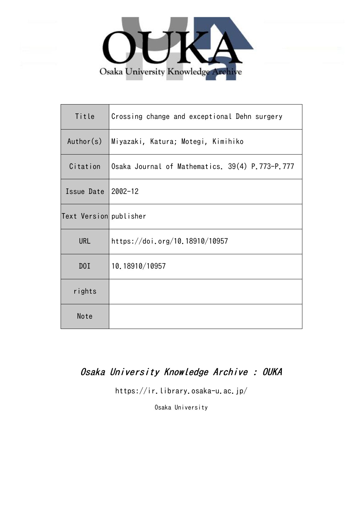

| Title                  | Crossing change and exceptional Dehn surgery    |
|------------------------|-------------------------------------------------|
| Author(s)              | Miyazaki, Katura; Motegi, Kimihiko              |
| Citation               | Osaka Journal of Mathematics. 39(4) P.773-P.777 |
| Issue Date             | $2002 - 12$                                     |
| Text Version publisher |                                                 |
| <b>URL</b>             | https://doi.org/10.18910/10957                  |
| DOI                    | 10.18910/10957                                  |
| rights                 |                                                 |
| Note                   |                                                 |

# Osaka University Knowledge Archive : OUKA

https://ir.library.osaka-u.ac.jp/

Osaka University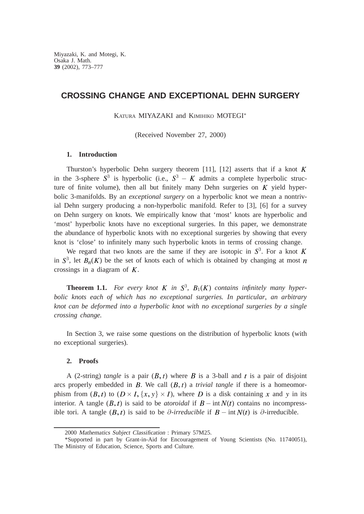## **CROSSING CHANGE AND EXCEPTIONAL DEHN SURGERY**

KATURA MIYAZAKI and KIMIHIKO MOTEGI<sup>\*</sup>

(Received November 27, 2000)

### **1. Introduction**

Thurston's hyperbolic Dehn surgery theorem [11], [12] asserts that if a knot  $K$ in the 3-sphere  $S^3$  is hyperbolic (i.e.,  $S^3 - K$  admits a complete hyperbolic structure of finite volume), then all but finitely many Dehn surgeries on  $K$  yield hyperbolic 3-manifolds. By an *exceptional surgery* on a hyperbolic knot we mean a nontrivial Dehn surgery producing a non-hyperbolic manifold. Refer to [3], [6] for a survey on Dehn surgery on knots. We empirically know that 'most' knots are hyperbolic and 'most' hyperbolic knots have no exceptional surgeries. In this paper, we demonstrate the abundance of hyperbolic knots with no exceptional surgeries by showing that every knot is 'close' to infinitely many such hyperbolic knots in terms of crossing change.

We regard that two knots are the same if they are isotopic in  $S<sup>3</sup>$ . For a knot in  $S^3$ , let  $B_n(K)$  be the set of knots each of which is obtained by changing at most crossings in a diagram of  $K$ .

**Theorem 1.1.** For every knot  $K$  in  $S^3$ ,  $B_1(K)$  contains infinitely many hyper*bolic knots each of which has no exceptional surgeries. In particular*, *an arbitrary knot can be deformed into a hyperbolic knot with no exceptional surgeries by a single crossing change.*

In Section 3, we raise some questions on the distribution of hyperbolic knots (with no exceptional surgeries).

#### **2. Proofs**

A (2-string) *tangle* is a pair  $(B, t)$  where B is a 3-ball and t is a pair of disjoint arcs properly embedded in  $B$ . We call  $(B, t)$  a *trivial tangle* if there is a homeomorphism from  $(B, t)$  to  $(D \times I, \{x, y\} \times I)$ , where D is a disk containing x and y in its interior. A tangle  $(B, t)$  is said to be *atoroidal* if  $B - \text{int } N(t)$  contains no incompressible tori. A tangle  $(B, t)$  is said to be  $\partial$ -irreducible if  $B - \text{int } N(t)$  is  $\partial$ -irreducible.

<sup>2000</sup> Mathematics Subject Classification : Primary 57M25.

<sup>\*</sup>Supported in part by Grant-in-Aid for Encouragement of Young Scientists (No. 11740051), The Ministry of Education, Science, Sports and Culture.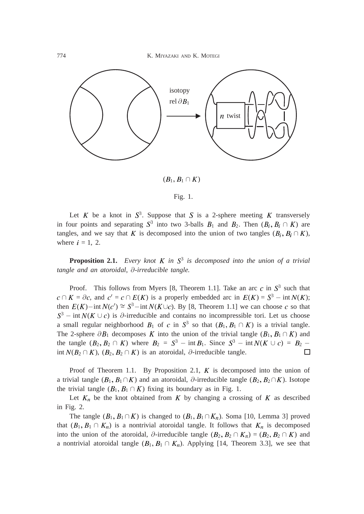774 K. MIYAZAKI AND K. MOTEGI



 $(B_1, B_1 \cap K)$ 

Let K be a knot in  $S^3$ . Suppose that S is a 2-sphere meeting K transversely in four points and separating  $S^3$  into two 3-balls  $B_1$  and  $B_2$ . Then  $(B_i, B_i \cap K)$  are tangles, and we say that K is decomposed into the union of two tangles  $(B_i, B_i \cap K)$ , where  $i = 1, 2$ .

**Proposition 2.1.** *Every knot K in*  $S^3$  *is decomposed into the union of a trivial tangle and an atoroidal*, ∂*-irreducible tangle.*

Proof. This follows from Myers [8, Theorem 1.1]. Take an arc c in  $S<sup>3</sup>$  such that  $c \cap K = \partial c$ , and  $c' = c \cap E(K)$  is a properly embedded arc in  $E(K) = S^3 - \text{int } N(K);$ then  $E(K)$ −int  $N(c') \cong S^3$ −int  $N(K \cup c)$ . By [8, Theorem 1.1] we can choose c so that  $S^3$  – int  $N(K \cup c)$  is  $\partial$ -irreducible and contains no incompressible tori. Let us choose a small regular neighborhood  $B_1$  of c in  $S^3$  so that  $(B_1, B_1 \cap K)$  is a trivial tangle. The 2-sphere  $\partial B_1$  decomposes K into the union of the trivial tangle  $(B_1, B_1 \cap K)$  and the tangle  $(B_2, B_2 \cap K)$  where  $B_2 = S^3 - \text{int } B_1$ . Since  $S^3 - \text{int } N(K \cup c) = B_2$ int  $N(B_2 \cap K)$ ,  $(B_2, B_2 \cap K)$  is an atoroidal,  $\partial$ -irreducible tangle.

Proof of Theorem 1.1. By Proposition 2.1,  $K$  is decomposed into the union of a trivial tangle  $(B_1, B_1 \cap K)$  and an atoroidal, ∂-irreducible tangle  $(B_2, B_2 \cap K)$ . Isotope the trivial tangle  $(B_1, B_1 \cap K)$  fixing its boundary as in Fig. 1.

Let  $K_n$  be the knot obtained from K by changing a crossing of K as described in Fig. 2.

The tangle  $(B_1, B_1 \cap K)$  is changed to  $(B_1, B_1 \cap K_n)$ . Soma [10, Lemma 3] proved that  $(B_1, B_1 \cap K_n)$  is a nontrivial atoroidal tangle. It follows that  $K_n$  is decomposed into the union of the atoroidal,  $\partial$ -irreducible tangle  $(B_2, B_2 \cap K_n) = (B_2, B_2 \cap K)$  and a nontrivial atoroidal tangle  $(B_1, B_1 \cap K_n)$ . Applying [14, Theorem 3.3], we see that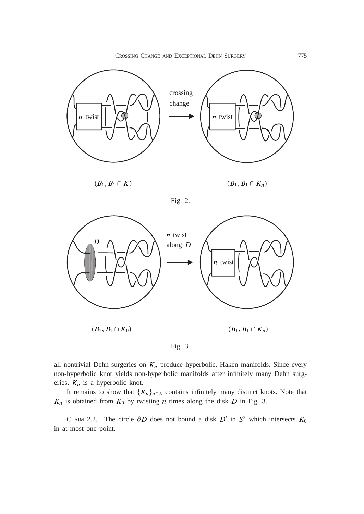CROSSING CHANGE AND EXCEPTIONAL DEHN SURGERY 775





Fig. 2.



Fig. 3.

all nontrivial Dehn surgeries on  $K_n$  produce hyperbolic, Haken manifolds. Since every non-hyperbolic knot yields non-hyperbolic manifolds after infinitely many Dehn surgeries,  $K_n$  is a hyperbolic knot.

It remains to show that  ${K_n}_{n \in \mathbb{Z}}$  contains infinitely many distinct knots. Note that  $K_n$  is obtained from  $K_0$  by twisting *n* times along the disk *D* in Fig. 3.

CLAIM 2.2. The circle  $\partial D$  does not bound a disk  $D'$  in  $S^3$  which intersects  $K_0$ in at most one point.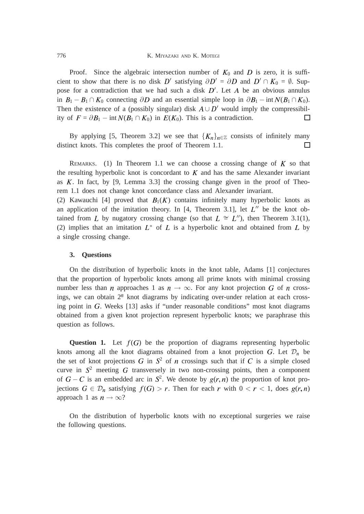Proof. Since the algebraic intersection number of  $K_0$  and D is zero, it is sufficient to show that there is no disk  $D'$  satisfying  $\partial D' = \partial D$  and  $D' \cap K_0 = \emptyset$ . Suppose for a contradiction that we had such a disk  $D'$ . Let A be an obvious annulus in  $B_1 - B_1 \cap K_0$  connecting  $\partial D$  and an essential simple loop in  $\partial B_1 - \text{int } N(B_1 \cap K_0)$ . Then the existence of a (possibly singular) disk  $A \cup D'$  would imply the compressibility of  $F = \partial B_1 - \text{int } N(B_1 \cap K_0)$  in  $E(K_0)$ . This is a contradiction.  $\Box$ 

By applying [5, Theorem 3.2] we see that  $\{K_n\}_{n\in\mathbb{Z}}$  consists of infinitely many nct knots. This completes the proof of Theorem 1.1. distinct knots. This completes the proof of Theorem 1.1.

REMARKS. (1) In Theorem 1.1 we can choose a crossing change of  $K$  so that the resulting hyperbolic knot is concordant to  $K$  and has the same Alexander invariant as  $K$ . In fact, by [9, Lemma 3.3] the crossing change given in the proof of Theorem 1.1 does not change knot concordance class and Alexander invariant.

(2) Kawauchi [4] proved that  $B_1(K)$  contains infinitely many hyperbolic knots as an application of the imitation theory. In [4, Theorem 3.1], let  $L''$  be the knot obtained from L by nugatory crossing change (so that  $L \cong L''$ ), then Theorem 3.1(1), (2) implies that an imitation  $L^*$  of L is a hyperbolic knot and obtained from L by a single crossing change.

#### **3. Questions**

On the distribution of hyperbolic knots in the knot table, Adams [1] conjectures that the proportion of hyperbolic knots among all prime knots with minimal crossing number less than *n* approaches 1 as  $n \to \infty$ . For any knot projection G of *n* crossings, we can obtain  $2^n$  knot diagrams by indicating over-under relation at each crossing point in G. Weeks [13] asks if "under reasonable conditions" most knot diagrams obtained from a given knot projection represent hyperbolic knots; we paraphrase this question as follows.

**Question 1.** Let  $f(G)$  be the proportion of diagrams representing hyperbolic knots among all the knot diagrams obtained from a knot projection G. Let  $\mathcal{D}_n$  be the set of knot projections G in  $S^2$  of n crossings such that if C is a simple closed curve in  $S<sup>2</sup>$  meeting G transversely in two non-crossing points, then a component of  $G - C$  is an embedded arc in  $S^2$ . We denote by  $g(r, n)$  the proportion of knot projections  $G \in \mathcal{D}_n$  satisfying  $f(G) > r$ . Then for each r with  $0 < r < 1$ , does  $g(r, n)$ approach 1 as  $n \to \infty$ ?

On the distribution of hyperbolic knots with no exceptional surgeries we raise the following questions.